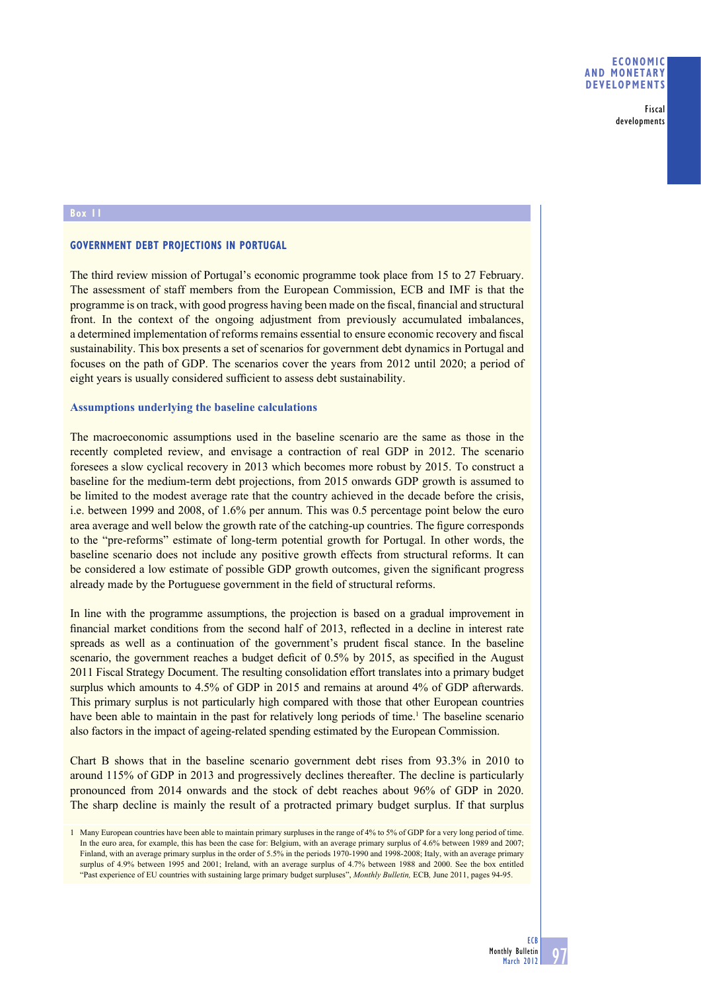Fiscal developments

#### **Box 11**

# **GOVERNMENT DEBT PROJECTIONS IN PORTUGAL**

The third review mission of Portugal's economic programme took place from 15 to 27 February. The assessment of staff members from the European Commission, ECB and IMF is that the programme is on track, with good progress having been made on the fiscal, financial and structural front. In the context of the ongoing adjustment from previously accumulated imbalances, a determined implementation of reforms remains essential to ensure economic recovery and fiscal sustainability. This box presents a set of scenarios for government debt dynamics in Portugal and focuses on the path of GDP. The scenarios cover the years from 2012 until 2020; a period of eight years is usually considered sufficient to assess debt sustainability.

#### **Assumptions underlying the baseline calculations**

The macroeconomic assumptions used in the baseline scenario are the same as those in the recently completed review, and envisage a contraction of real GDP in 2012. The scenario foresees a slow cyclical recovery in 2013 which becomes more robust by 2015. To construct a baseline for the medium-term debt projections, from 2015 onwards GDP growth is assumed to be limited to the modest average rate that the country achieved in the decade before the crisis, i.e. between 1999 and 2008, of 1.6% per annum. This was 0.5 percentage point below the euro area average and well below the growth rate of the catching-up countries. The figure corresponds to the "pre-reforms" estimate of long-term potential growth for Portugal. In other words, the baseline scenario does not include any positive growth effects from structural reforms. It can be considered a low estimate of possible GDP growth outcomes, given the significant progress already made by the Portuguese government in the field of structural reforms.

In line with the programme assumptions, the projection is based on a gradual improvement in financial market conditions from the second half of 2013, reflected in a decline in interest rate spreads as well as a continuation of the government's prudent fiscal stance. In the baseline scenario, the government reaches a budget deficit of  $0.5\%$  by 2015, as specified in the August 2011 Fiscal Strategy Document. The resulting consolidation effort translates into a primary budget surplus which amounts to 4.5% of GDP in 2015 and remains at around 4% of GDP afterwards. This primary surplus is not particularly high compared with those that other European countries have been able to maintain in the past for relatively long periods of time.<sup>1</sup> The baseline scenario also factors in the impact of ageing-related spending estimated by the European Commission.

Chart B shows that in the baseline scenario government debt rises from 93.3% in 2010 to around 115% of GDP in 2013 and progressively declines thereafter. The decline is particularly pronounced from 2014 onwards and the stock of debt reaches about 96% of GDP in 2020. The sharp decline is mainly the result of a protracted primary budget surplus. If that surplus

<sup>1</sup> Many European countries have been able to maintain primary surpluses in the range of 4% to 5% of GDP for a very long period of time. In the euro area, for example, this has been the case for: Belgium, with an average primary surplus of 4.6% between 1989 and 2007; Finland, with an average primary surplus in the order of 5.5% in the periods 1970-1990 and 1998-2008; Italy, with an average primary surplus of 4.9% between 1995 and 2001; Ireland, with an average surplus of 4.7% between 1988 and 2000. See the box entitled "Past experience of EU countries with sustaining large primary budget surpluses", *Monthly Bulletin,* ECB*,* June 2011, pages 94-95.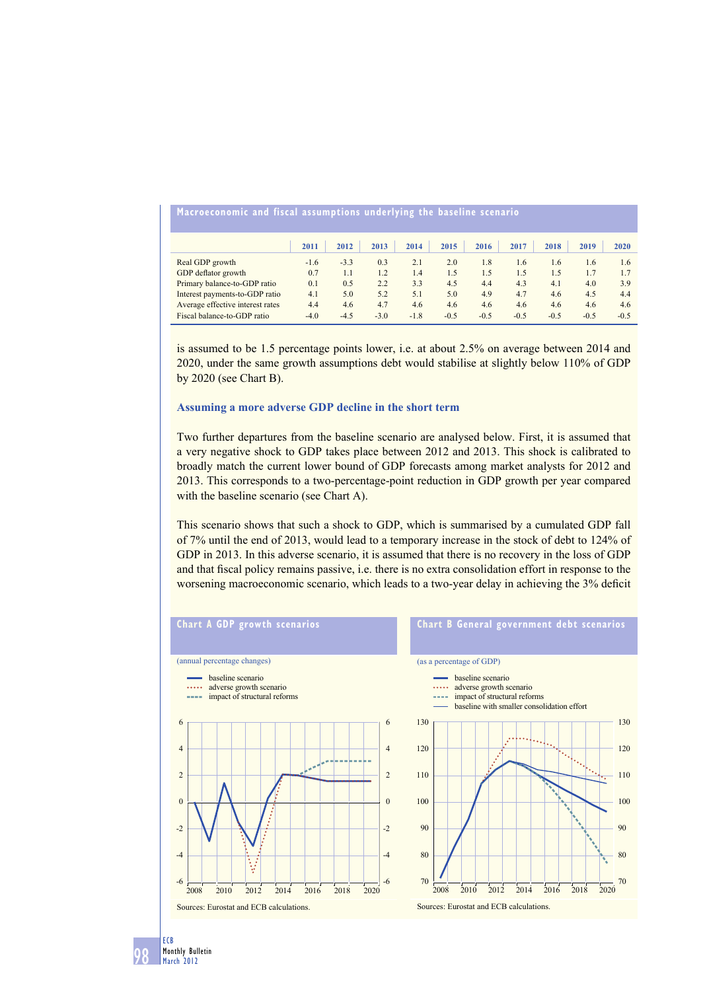| Macroeconomic and fiscal assumptions underlying the baseline scenario |        |        |        |        |        |        |        |        |        |        |
|-----------------------------------------------------------------------|--------|--------|--------|--------|--------|--------|--------|--------|--------|--------|
|                                                                       | 2011   | 2012   | 2013   | 2014   | 2015   | 2016   | 2017   | 2018   | 2019   | 2020   |
| Real GDP growth                                                       | $-1.6$ | $-3.3$ | 0.3    | 2.1    | 2.0    | 1.8    | 1.6    | 1.6    | 1.6    | 1.6    |
| GDP deflator growth                                                   | 0.7    | 1.1    | 1.2    | 1.4    | 1.5    | 1.5    | 1.5    | 1.5    | 1.7    | 1.7    |
| Primary balance-to-GDP ratio                                          | 0.1    | 0.5    | 2.2    | 3.3    | 4.5    | 4.4    | 4.3    | 4.1    | 4.0    | 3.9    |
| Interest payments-to-GDP ratio                                        | 4.1    | 5.0    | 5.2    | 5.1    | 5.0    | 4.9    | 4.7    | 4.6    | 4.5    | 4.4    |
| Average effective interest rates                                      | 4.4    | 4.6    | 4.7    | 4.6    | 4.6    | 4.6    | 4.6    | 4.6    | 4.6    | 4.6    |
| Fiscal balance-to-GDP ratio                                           | $-4.0$ | $-4.5$ | $-3.0$ | $-1.8$ | $-0.5$ | $-0.5$ | $-0.5$ | $-0.5$ | $-0.5$ | $-0.5$ |

is assumed to be 1.5 percentage points lower, i.e. at about 2.5% on average between 2014 and 2020, under the same growth assumptions debt would stabilise at slightly below 110% of GDP by 2020 (see Chart B).

#### **Assuming a more adverse GDP decline in the short term**

Two further departures from the baseline scenario are analysed below. First, it is assumed that a very negative shock to GDP takes place between 2012 and 2013. This shock is calibrated to broadly match the current lower bound of GDP forecasts among market analysts for 2012 and 2013. This corresponds to a two-percentage-point reduction in GDP growth per year compared with the baseline scenario (see Chart A).

This scenario shows that such a shock to GDP, which is summarised by a cumulated GDP fall of 7% until the end of 2013, would lead to a temporary increase in the stock of debt to 124% of GDP in 2013. In this adverse scenario, it is assumed that there is no recovery in the loss of GDP and that fiscal policy remains passive, i.e. there is no extra consolidation effort in response to the worsening macroeconomic scenario, which leads to a two-year delay in achieving the 3% deficit

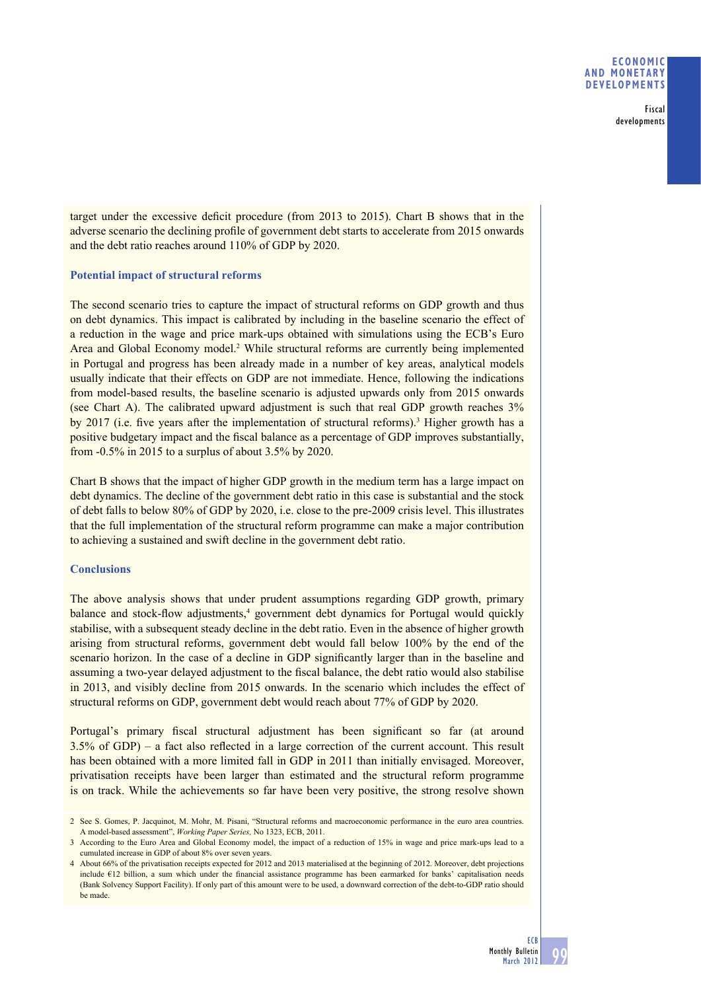#### **ECONOMIC AND MONETARY DEVELOPMENTS**

Fiscal developments

target under the excessive deficit procedure (from 2013 to 2015). Chart B shows that in the adverse scenario the declining profile of government debt starts to accelerate from 2015 onwards and the debt ratio reaches around 110% of GDP by 2020.

### **Potential impact of structural reforms**

The second scenario tries to capture the impact of structural reforms on GDP growth and thus on debt dynamics. This impact is calibrated by including in the baseline scenario the effect of a reduction in the wage and price mark-ups obtained with simulations using the ECB's Euro Area and Global Economy model.<sup>2</sup> While structural reforms are currently being implemented in Portugal and progress has been already made in a number of key areas, analytical models usually indicate that their effects on GDP are not immediate. Hence, following the indications from model-based results, the baseline scenario is adjusted upwards only from 2015 onwards (see Chart A). The calibrated upward adjustment is such that real GDP growth reaches 3% by 2017 (i.e. five years after the implementation of structural reforms).<sup>3</sup> Higher growth has a positive budgetary impact and the fiscal balance as a percentage of GDP improves substantially, from -0.5% in 2015 to a surplus of about 3.5% by 2020.

Chart B shows that the impact of higher GDP growth in the medium term has a large impact on debt dynamics. The decline of the government debt ratio in this case is substantial and the stock of debt falls to below 80% of GDP by 2020, i.e. close to the pre-2009 crisis level. This illustrates that the full implementation of the structural reform programme can make a major contribution to achieving a sustained and swift decline in the government debt ratio.

## **Conclusions**

The above analysis shows that under prudent assumptions regarding GDP growth, primary balance and stock-flow adjustments,<sup>4</sup> government debt dynamics for Portugal would quickly stabilise, with a subsequent steady decline in the debt ratio. Even in the absence of higher growth arising from structural reforms, government debt would fall below 100% by the end of the scenario horizon. In the case of a decline in GDP significantly larger than in the baseline and assuming a two-year delayed adjustment to the fiscal balance, the debt ratio would also stabilise in 2013, and visibly decline from 2015 onwards. In the scenario which includes the effect of structural reforms on GDP, government debt would reach about 77% of GDP by 2020.

Portugal's primary fiscal structural adjustment has been significant so far (at around  $3.5\%$  of GDP) – a fact also reflected in a large correction of the current account. This result has been obtained with a more limited fall in GDP in 2011 than initially envisaged. Moreover, privatisation receipts have been larger than estimated and the structural reform programme is on track. While the achievements so far have been very positive, the strong resolve shown

<sup>2</sup> See S. Gomes, P. Jacquinot, M. Mohr, M. Pisani, "Structural reforms and macroeconomic performance in the euro area countries. A model-based assessment", *Working Paper Series,* No 1323, ECB, 2011.

<sup>3</sup> According to the Euro Area and Global Economy model, the impact of a reduction of 15% in wage and price mark-ups lead to a cumulated increase in GDP of about 8% over seven years.

<sup>4</sup> About 66% of the privatisation receipts expected for 2012 and 2013 materialised at the beginning of 2012. Moreover, debt projections include  $€12$  billion, a sum which under the financial assistance programme has been earmarked for banks' capitalisation needs (Bank Solvency Support Facility). If only part of this amount were to be used, a downward correction of the debt-to-GDP ratio should be made.